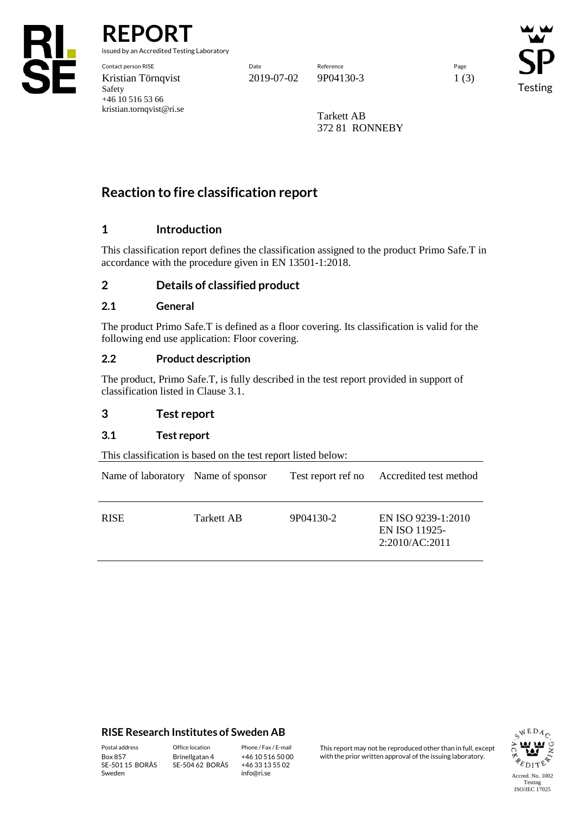

**REPORT**

issued by an Accredited Testing Laboratory

Contact person RISE Date Reference Page Kristian Törnqvist 2019-07-02 9P04130-3 1 (3) Safety +46 10 516 53 66 kristian.tornqvist@ri.se

Testing

Tarkett AB 372 81 RONNEBY

# **Reaction to fire classification report**

# **1 Introduction**

This classification report defines the classification assigned to the product Primo Safe.T in accordance with the procedure given in EN 13501-1:2018.

# **2 Details of classified product**

## **2.1 General**

The product Primo Safe.T is defined as a floor covering. Its classification is valid for the following end use application: Floor covering.

## **2.2 Product description**

The product, Primo Safe.T, is fully described in the test report provided in support of classification listed in Clause 3.1.

## **3 Test report**

## **3.1 Test report**

This classification is based on the test report listed below:

| Name of laboratory Name of sponsor |            | Test report ref no | Accredited test method                                |
|------------------------------------|------------|--------------------|-------------------------------------------------------|
| <b>RISE</b>                        | Tarkett AB | 9P04130-2          | EN ISO 9239-1:2010<br>EN ISO 11925-<br>2:2010/AC:2011 |

## **RISE Research Institutes of Sweden AB**

SE-501 15 BORÅS Sweden

Brinellgatan 4 SE-504 62 BORÅS

+46 10 516 50 00 +46 33 13 55 02 info@ri.se

Postal address Office location Phone / Fax / E-mail This report may not be reproduced other than in full, except<br>
Phone / Fax / E-mail This report may not be reproduced other issuing laboratory. with the prior written approval of the issuing laboratory.

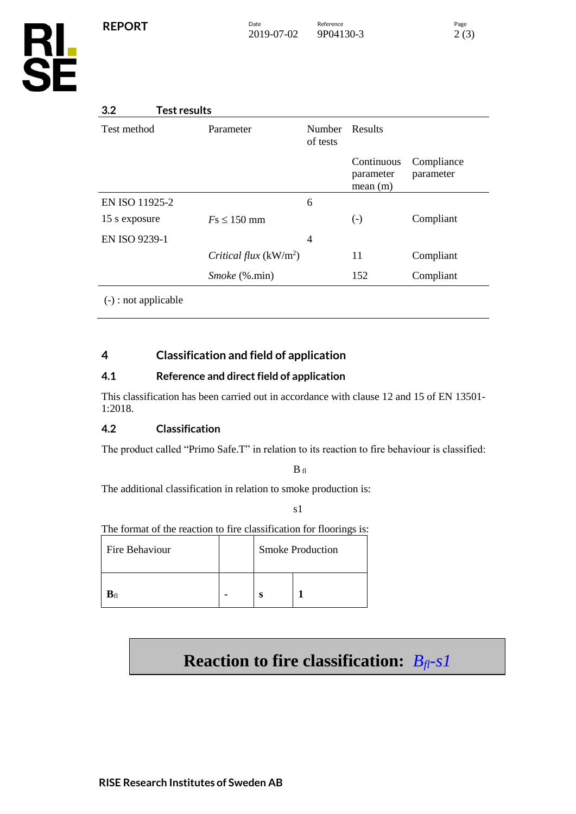# **3.2 Test results**

| Test method            | Parameter               | <b>Number</b><br>of tests | Results                            |                         |
|------------------------|-------------------------|---------------------------|------------------------------------|-------------------------|
|                        |                         |                           | Continuous<br>parameter<br>mean(m) | Compliance<br>parameter |
| EN ISO 11925-2         |                         | 6                         |                                    |                         |
| 15 s exposure          | $Fs \leq 150$ mm        |                           | $\left( -\right)$                  | Compliant               |
| EN ISO 9239-1          |                         | 4                         |                                    |                         |
|                        | Critical flux $(kW/m2)$ |                           | 11                                 | Compliant               |
|                        | <i>Smoke</i> (%.min)    |                           | 152                                | Compliant               |
| $(-)$ : not applicable |                         |                           |                                    |                         |

# **4 Classification and field of application**

# **4.1 Reference and direct field of application**

This classification has been carried out in accordance with clause 12 and 15 of EN 13501- 1:2018.

# **4.2 Classification**

The product called "Primo Safe.T" in relation to its reaction to fire behaviour is classified:

 $B<sub>fl</sub>$ 

The additional classification in relation to smoke production is:

s1

The format of the reaction to fire classification for floorings is:

| Fire Behaviour             |  | <b>Smoke Production</b> |  |
|----------------------------|--|-------------------------|--|
| $\mathbf{B}_{\mathrm{fl}}$ |  |                         |  |

# **Reaction to fire classification:** *Bfl-s1*